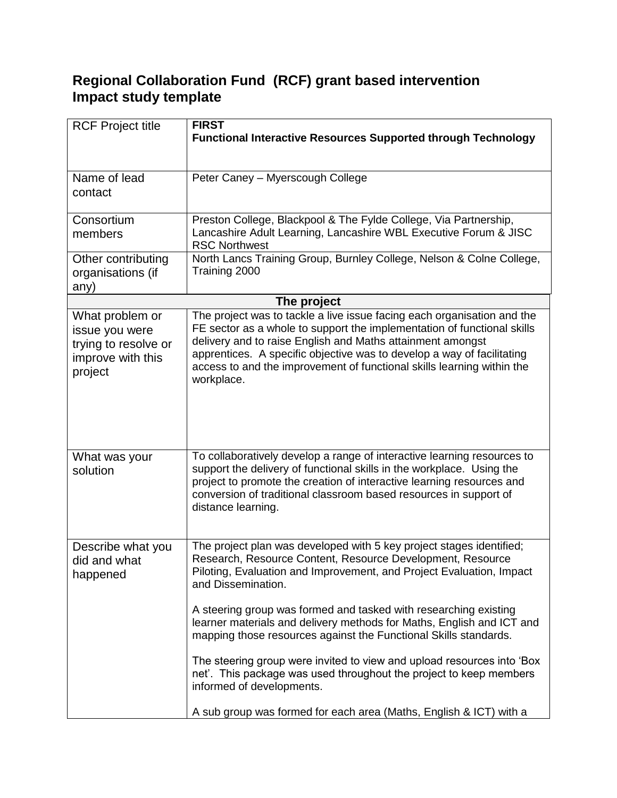## **Regional Collaboration Fund (RCF) grant based intervention Impact study template**

| <b>RCF Project title</b>                                                                  | <b>FIRST</b><br><b>Functional Interactive Resources Supported through Technology</b>                                                                                                                                                                                                                                                                                                                                                                                                                                                                                                                                           |  |  |
|-------------------------------------------------------------------------------------------|--------------------------------------------------------------------------------------------------------------------------------------------------------------------------------------------------------------------------------------------------------------------------------------------------------------------------------------------------------------------------------------------------------------------------------------------------------------------------------------------------------------------------------------------------------------------------------------------------------------------------------|--|--|
| Name of lead<br>contact                                                                   | Peter Caney - Myerscough College                                                                                                                                                                                                                                                                                                                                                                                                                                                                                                                                                                                               |  |  |
| Consortium<br>members                                                                     | Preston College, Blackpool & The Fylde College, Via Partnership,<br>Lancashire Adult Learning, Lancashire WBL Executive Forum & JISC<br><b>RSC Northwest</b>                                                                                                                                                                                                                                                                                                                                                                                                                                                                   |  |  |
| Other contributing<br>organisations (if<br>any)                                           | North Lancs Training Group, Burnley College, Nelson & Colne College,<br>Training 2000                                                                                                                                                                                                                                                                                                                                                                                                                                                                                                                                          |  |  |
|                                                                                           | The project                                                                                                                                                                                                                                                                                                                                                                                                                                                                                                                                                                                                                    |  |  |
| What problem or<br>issue you were<br>trying to resolve or<br>improve with this<br>project | The project was to tackle a live issue facing each organisation and the<br>FE sector as a whole to support the implementation of functional skills<br>delivery and to raise English and Maths attainment amongst<br>apprentices. A specific objective was to develop a way of facilitating<br>access to and the improvement of functional skills learning within the<br>workplace.                                                                                                                                                                                                                                             |  |  |
| What was your<br>solution                                                                 | To collaboratively develop a range of interactive learning resources to<br>support the delivery of functional skills in the workplace. Using the<br>project to promote the creation of interactive learning resources and<br>conversion of traditional classroom based resources in support of<br>distance learning.                                                                                                                                                                                                                                                                                                           |  |  |
| Describe what you<br>did and what<br>happened                                             | The project plan was developed with 5 key project stages identified;<br>Research, Resource Content, Resource Development, Resource<br>Piloting, Evaluation and Improvement, and Project Evaluation, Impact<br>and Dissemination.<br>A steering group was formed and tasked with researching existing<br>learner materials and delivery methods for Maths, English and ICT and<br>mapping those resources against the Functional Skills standards.<br>The steering group were invited to view and upload resources into 'Box<br>net'. This package was used throughout the project to keep members<br>informed of developments. |  |  |
|                                                                                           | A sub group was formed for each area (Maths, English & ICT) with a                                                                                                                                                                                                                                                                                                                                                                                                                                                                                                                                                             |  |  |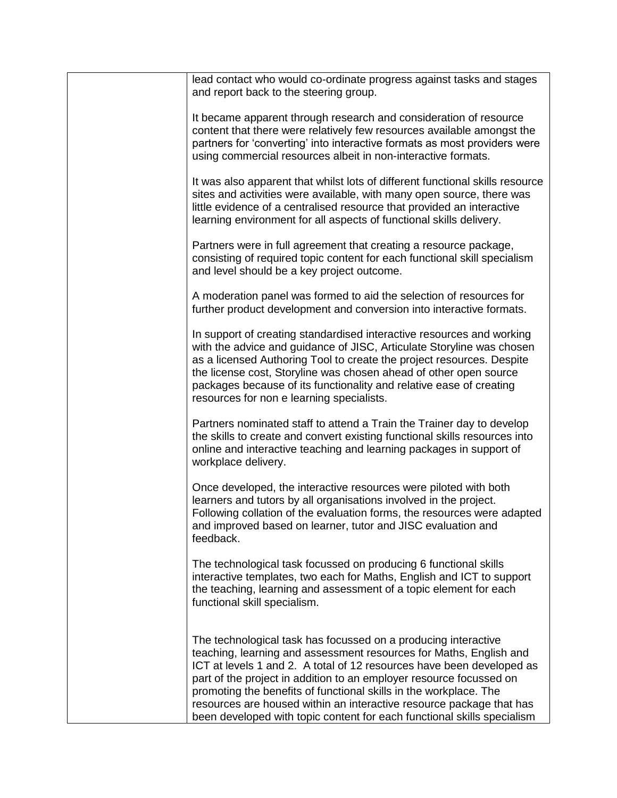| lead contact who would co-ordinate progress against tasks and stages<br>and report back to the steering group.                                                                                                                                                                                                                                                                                                                                                                                               |
|--------------------------------------------------------------------------------------------------------------------------------------------------------------------------------------------------------------------------------------------------------------------------------------------------------------------------------------------------------------------------------------------------------------------------------------------------------------------------------------------------------------|
| It became apparent through research and consideration of resource<br>content that there were relatively few resources available amongst the<br>partners for 'converting' into interactive formats as most providers were<br>using commercial resources albeit in non-interactive formats.                                                                                                                                                                                                                    |
| It was also apparent that whilst lots of different functional skills resource<br>sites and activities were available, with many open source, there was<br>little evidence of a centralised resource that provided an interactive<br>learning environment for all aspects of functional skills delivery.                                                                                                                                                                                                      |
| Partners were in full agreement that creating a resource package,<br>consisting of required topic content for each functional skill specialism<br>and level should be a key project outcome.                                                                                                                                                                                                                                                                                                                 |
| A moderation panel was formed to aid the selection of resources for<br>further product development and conversion into interactive formats.                                                                                                                                                                                                                                                                                                                                                                  |
| In support of creating standardised interactive resources and working<br>with the advice and guidance of JISC, Articulate Storyline was chosen<br>as a licensed Authoring Tool to create the project resources. Despite<br>the license cost, Storyline was chosen ahead of other open source<br>packages because of its functionality and relative ease of creating<br>resources for non e learning specialists.                                                                                             |
| Partners nominated staff to attend a Train the Trainer day to develop<br>the skills to create and convert existing functional skills resources into<br>online and interactive teaching and learning packages in support of<br>workplace delivery.                                                                                                                                                                                                                                                            |
| Once developed, the interactive resources were piloted with both<br>learners and tutors by all organisations involved in the project.<br>Following collation of the evaluation forms, the resources were adapted<br>and improved based on learner, tutor and JISC evaluation and<br>feedback.                                                                                                                                                                                                                |
| The technological task focussed on producing 6 functional skills<br>interactive templates, two each for Maths, English and ICT to support<br>the teaching, learning and assessment of a topic element for each<br>functional skill specialism.                                                                                                                                                                                                                                                               |
| The technological task has focussed on a producing interactive<br>teaching, learning and assessment resources for Maths, English and<br>ICT at levels 1 and 2. A total of 12 resources have been developed as<br>part of the project in addition to an employer resource focussed on<br>promoting the benefits of functional skills in the workplace. The<br>resources are housed within an interactive resource package that has<br>been developed with topic content for each functional skills specialism |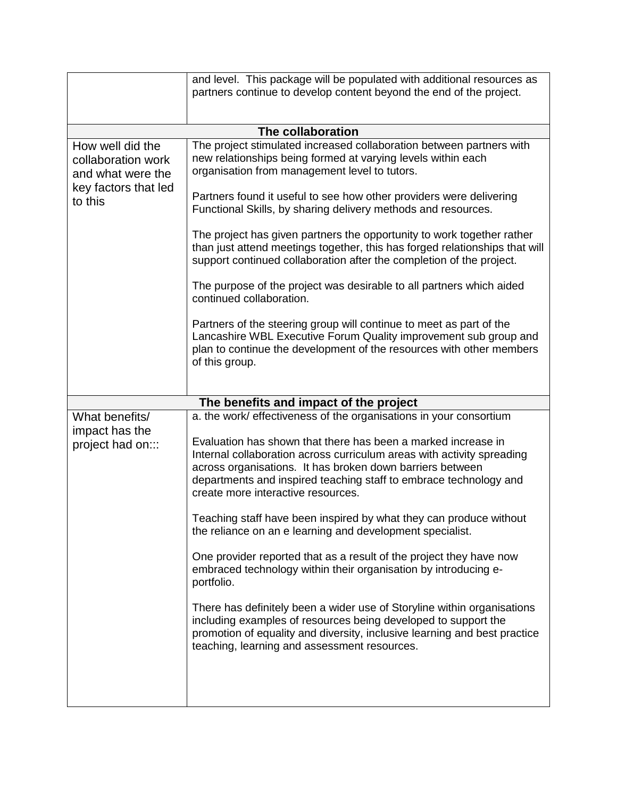|                                                                                                | and level. This package will be populated with additional resources as<br>partners continue to develop content beyond the end of the project.                                                                                                                                                                   |  |  |  |  |  |
|------------------------------------------------------------------------------------------------|-----------------------------------------------------------------------------------------------------------------------------------------------------------------------------------------------------------------------------------------------------------------------------------------------------------------|--|--|--|--|--|
|                                                                                                |                                                                                                                                                                                                                                                                                                                 |  |  |  |  |  |
| The collaboration                                                                              |                                                                                                                                                                                                                                                                                                                 |  |  |  |  |  |
| How well did the<br>collaboration work<br>and what were the<br>key factors that led<br>to this | The project stimulated increased collaboration between partners with<br>new relationships being formed at varying levels within each<br>organisation from management level to tutors.                                                                                                                           |  |  |  |  |  |
|                                                                                                | Partners found it useful to see how other providers were delivering<br>Functional Skills, by sharing delivery methods and resources.                                                                                                                                                                            |  |  |  |  |  |
|                                                                                                | The project has given partners the opportunity to work together rather<br>than just attend meetings together, this has forged relationships that will<br>support continued collaboration after the completion of the project.                                                                                   |  |  |  |  |  |
|                                                                                                | The purpose of the project was desirable to all partners which aided<br>continued collaboration.                                                                                                                                                                                                                |  |  |  |  |  |
|                                                                                                | Partners of the steering group will continue to meet as part of the<br>Lancashire WBL Executive Forum Quality improvement sub group and<br>plan to continue the development of the resources with other members<br>of this group.                                                                               |  |  |  |  |  |
|                                                                                                |                                                                                                                                                                                                                                                                                                                 |  |  |  |  |  |
|                                                                                                | The benefits and impact of the project                                                                                                                                                                                                                                                                          |  |  |  |  |  |
| What benefits/<br>impact has the<br>project had on:::                                          | a. the work/ effectiveness of the organisations in your consortium                                                                                                                                                                                                                                              |  |  |  |  |  |
|                                                                                                | Evaluation has shown that there has been a marked increase in<br>Internal collaboration across curriculum areas with activity spreading<br>across organisations. It has broken down barriers between<br>departments and inspired teaching staff to embrace technology and<br>create more interactive resources. |  |  |  |  |  |
|                                                                                                | Teaching staff have been inspired by what they can produce without<br>the reliance on an e learning and development specialist.                                                                                                                                                                                 |  |  |  |  |  |
|                                                                                                | One provider reported that as a result of the project they have now<br>embraced technology within their organisation by introducing e-<br>portfolio.                                                                                                                                                            |  |  |  |  |  |
|                                                                                                | There has definitely been a wider use of Storyline within organisations<br>including examples of resources being developed to support the<br>promotion of equality and diversity, inclusive learning and best practice<br>teaching, learning and assessment resources.                                          |  |  |  |  |  |
|                                                                                                |                                                                                                                                                                                                                                                                                                                 |  |  |  |  |  |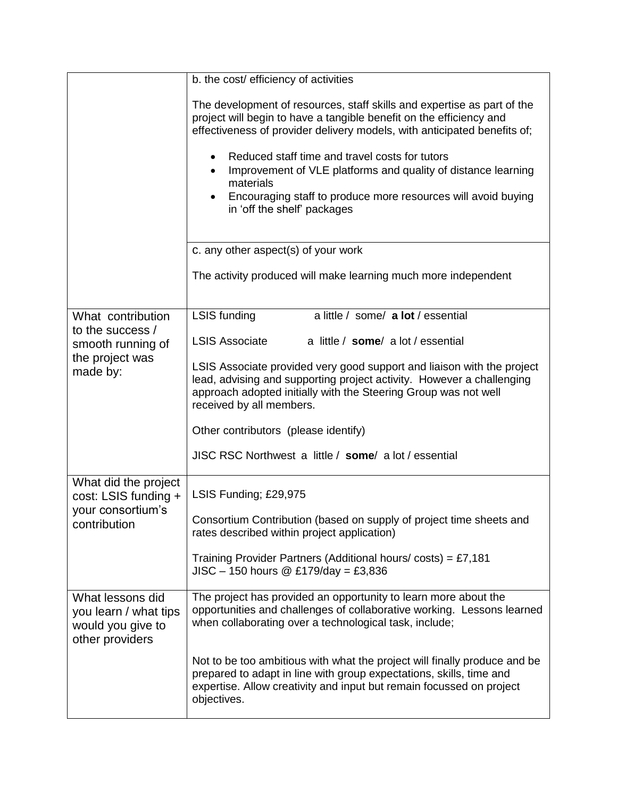|                                                                                   | b. the cost/ efficiency of activities                                                                                                                                                                                                                                                                                                                                                                                                                                                |  |  |
|-----------------------------------------------------------------------------------|--------------------------------------------------------------------------------------------------------------------------------------------------------------------------------------------------------------------------------------------------------------------------------------------------------------------------------------------------------------------------------------------------------------------------------------------------------------------------------------|--|--|
|                                                                                   | The development of resources, staff skills and expertise as part of the<br>project will begin to have a tangible benefit on the efficiency and<br>effectiveness of provider delivery models, with anticipated benefits of;<br>Reduced staff time and travel costs for tutors<br>$\bullet$<br>Improvement of VLE platforms and quality of distance learning<br>$\bullet$<br>materials<br>Encouraging staff to produce more resources will avoid buying<br>in 'off the shelf' packages |  |  |
|                                                                                   | c. any other aspect(s) of your work                                                                                                                                                                                                                                                                                                                                                                                                                                                  |  |  |
|                                                                                   | The activity produced will make learning much more independent                                                                                                                                                                                                                                                                                                                                                                                                                       |  |  |
| What contribution                                                                 | a little / some/ a lot / essential<br>LSIS funding                                                                                                                                                                                                                                                                                                                                                                                                                                   |  |  |
| to the success /<br>smooth running of                                             | <b>LSIS Associate</b><br>a little / some/ a lot / essential                                                                                                                                                                                                                                                                                                                                                                                                                          |  |  |
| the project was<br>made by:                                                       | LSIS Associate provided very good support and liaison with the project<br>lead, advising and supporting project activity. However a challenging<br>approach adopted initially with the Steering Group was not well<br>received by all members.                                                                                                                                                                                                                                       |  |  |
|                                                                                   | Other contributors (please identify)                                                                                                                                                                                                                                                                                                                                                                                                                                                 |  |  |
|                                                                                   | JISC RSC Northwest a little / some/ a lot / essential                                                                                                                                                                                                                                                                                                                                                                                                                                |  |  |
| What did the project<br>cost: LSIS funding +<br>your consortium's<br>contribution | LSIS Funding; £29,975                                                                                                                                                                                                                                                                                                                                                                                                                                                                |  |  |
|                                                                                   | Consortium Contribution (based on supply of project time sheets and<br>rates described within project application)                                                                                                                                                                                                                                                                                                                                                                   |  |  |
|                                                                                   | Training Provider Partners (Additional hours/costs) = £7,181<br>$JISC - 150 hours @ £179/day = £3,836$                                                                                                                                                                                                                                                                                                                                                                               |  |  |
| What lessons did<br>you learn / what tips<br>would you give to<br>other providers | The project has provided an opportunity to learn more about the<br>opportunities and challenges of collaborative working. Lessons learned<br>when collaborating over a technological task, include;                                                                                                                                                                                                                                                                                  |  |  |
|                                                                                   | Not to be too ambitious with what the project will finally produce and be<br>prepared to adapt in line with group expectations, skills, time and<br>expertise. Allow creativity and input but remain focussed on project<br>objectives.                                                                                                                                                                                                                                              |  |  |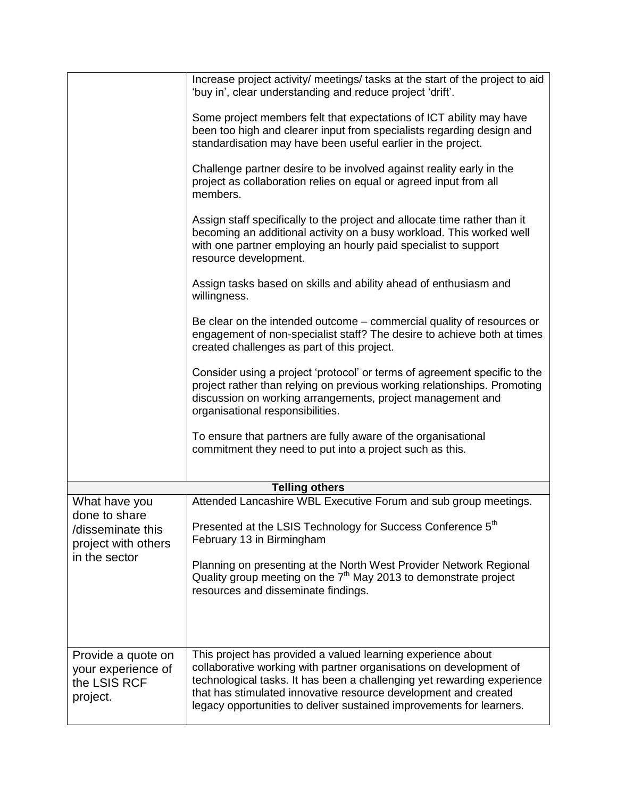|                                                                      | Increase project activity/ meetings/ tasks at the start of the project to aid<br>'buy in', clear understanding and reduce project 'drift'.                                                                                                                                                                                                               |
|----------------------------------------------------------------------|----------------------------------------------------------------------------------------------------------------------------------------------------------------------------------------------------------------------------------------------------------------------------------------------------------------------------------------------------------|
|                                                                      | Some project members felt that expectations of ICT ability may have<br>been too high and clearer input from specialists regarding design and<br>standardisation may have been useful earlier in the project.                                                                                                                                             |
|                                                                      | Challenge partner desire to be involved against reality early in the<br>project as collaboration relies on equal or agreed input from all<br>members.                                                                                                                                                                                                    |
|                                                                      | Assign staff specifically to the project and allocate time rather than it<br>becoming an additional activity on a busy workload. This worked well<br>with one partner employing an hourly paid specialist to support<br>resource development.                                                                                                            |
|                                                                      | Assign tasks based on skills and ability ahead of enthusiasm and<br>willingness.                                                                                                                                                                                                                                                                         |
|                                                                      | Be clear on the intended outcome – commercial quality of resources or<br>engagement of non-specialist staff? The desire to achieve both at times<br>created challenges as part of this project.                                                                                                                                                          |
|                                                                      | Consider using a project 'protocol' or terms of agreement specific to the<br>project rather than relying on previous working relationships. Promoting<br>discussion on working arrangements, project management and<br>organisational responsibilities.                                                                                                  |
|                                                                      | To ensure that partners are fully aware of the organisational<br>commitment they need to put into a project such as this.                                                                                                                                                                                                                                |
|                                                                      | <b>Telling others</b>                                                                                                                                                                                                                                                                                                                                    |
| What have you                                                        | Attended Lancashire WBL Executive Forum and sub group meetings.                                                                                                                                                                                                                                                                                          |
| done to share                                                        |                                                                                                                                                                                                                                                                                                                                                          |
| /disseminate this<br>project with others                             | Presented at the LSIS Technology for Success Conference 5 <sup>th</sup><br>February 13 in Birmingham                                                                                                                                                                                                                                                     |
| in the sector                                                        | Planning on presenting at the North West Provider Network Regional<br>Quality group meeting on the 7 <sup>th</sup> May 2013 to demonstrate project<br>resources and disseminate findings.                                                                                                                                                                |
|                                                                      |                                                                                                                                                                                                                                                                                                                                                          |
| Provide a quote on<br>your experience of<br>the LSIS RCF<br>project. | This project has provided a valued learning experience about<br>collaborative working with partner organisations on development of<br>technological tasks. It has been a challenging yet rewarding experience<br>that has stimulated innovative resource development and created<br>legacy opportunities to deliver sustained improvements for learners. |